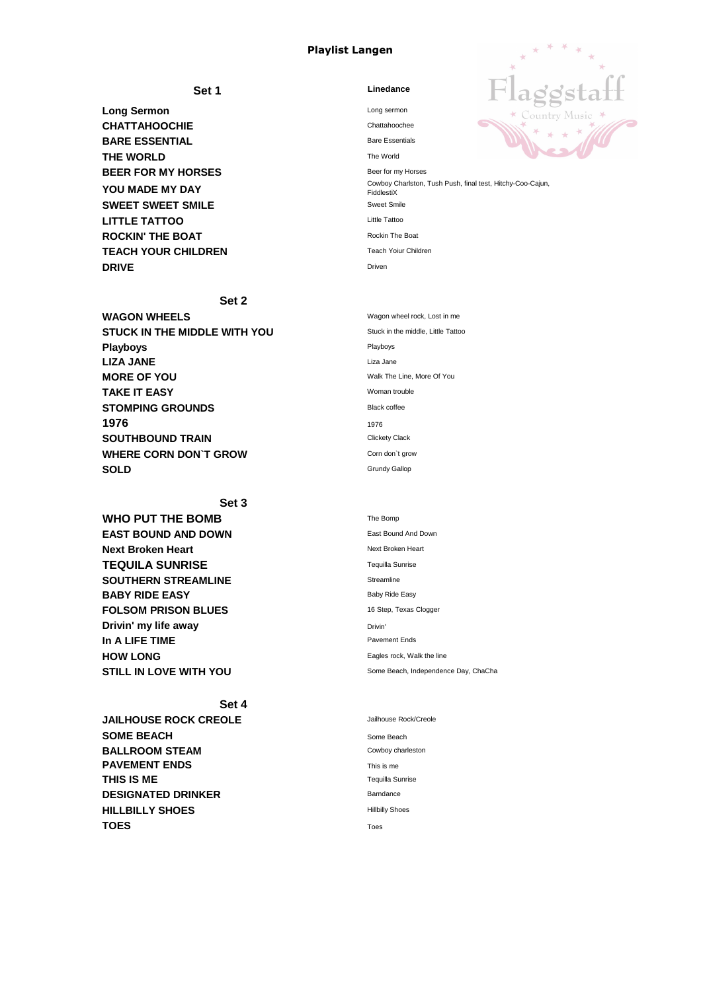## **Playlist Langen**

**Long Sermon** Long sermon **CHATTAHOOCHIE** Chattahoochee **BARE ESSENTIAL** Bare Essentials **THE WORLD** The World **BEER FOR MY HORSES** Beer for my Horses **SWEET SWEET SMILE** Sweet Smile **LITTLE TATTOO ROCKIN' THE BOAT** Rockin The Boat **TEACH YOUR CHILDREN** Teach Yoiur Children **DRIVE** Driven

# **Set 1 Linedance** \* Country Music \* **YOU MADE MY DAY** Cowboy Charlston, Tush Push, final test, Hitchy-Coo-Cajun, **FiddlestiX**

#### **Set 2**

| <b>WAGON WHEELS</b>                 | Wagon wheel rock, Lost in me       |
|-------------------------------------|------------------------------------|
| <b>STUCK IN THE MIDDLE WITH YOU</b> | Stuck in the middle, Little Tattoo |
| <b>Playboys</b>                     | Playboys                           |
| <b>LIZA JANE</b>                    | Liza Jane                          |
| <b>MORE OF YOU</b>                  | Walk The Line, More Of You         |
| <b>TAKE IT EASY</b>                 | Woman trouble                      |
| <b>STOMPING GROUNDS</b>             | <b>Black coffee</b>                |
| 1976                                | 1976                               |
| <b>SOUTHBOUND TRAIN</b>             | <b>Clickety Clack</b>              |
| <b>WHERE CORN DON'T GROW</b>        | Corn don't grow                    |
| <b>SOLD</b>                         | <b>Grundy Gallop</b>               |
|                                     |                                    |

### **Set 3**

#### **WHO PUT THE BOMB**

| WITCH THE BUMB                | $1100 - 1110$                        |
|-------------------------------|--------------------------------------|
| <b>EAST BOUND AND DOWN</b>    | East Bound And Down                  |
| <b>Next Broken Heart</b>      | <b>Next Broken Heart</b>             |
| <b>TEQUILA SUNRISE</b>        | <b>Tequilla Sunrise</b>              |
| <b>SOUTHERN STREAMLINE</b>    | <b>Streamline</b>                    |
| <b>BABY RIDE EASY</b>         | <b>Baby Ride Easy</b>                |
| <b>FOLSOM PRISON BLUES</b>    | 16 Step, Texas Clogger               |
| Drivin' my life away          | Drivin'                              |
| In A LIFE TIME                | <b>Pavement Ends</b>                 |
| <b>HOW LONG</b>               | Eagles rock, Walk the line           |
| <b>STILL IN LOVE WITH YOU</b> | Some Beach, Independence Day, ChaCha |

| The Bomp                         |  |
|----------------------------------|--|
| <b>East Bound And Down</b>       |  |
| Next Broken Heart                |  |
| <b>Tequilla Sunrise</b>          |  |
| Streamline                       |  |
| <b>Baby Ride Easy</b>            |  |
| 16 Step, Texas Clogger           |  |
| Drivin'                          |  |
| <b>Pavement Ends</b>             |  |
| Eagles rock, Walk the line       |  |
| Some Beach, Independence Day, Ch |  |

# **Set 4**

| <b>JAILHOUSE ROCK CREOLE</b> | Jailhouse Rock/Creole   |
|------------------------------|-------------------------|
| <b>SOME BEACH</b>            | Some Beach              |
| <b>BALLROOM STEAM</b>        | Cowboy charleston       |
| <b>PAVEMENT ENDS</b>         | This is me              |
| <b>THIS IS ME</b>            | <b>Tequilla Sunrise</b> |
| <b>DESIGNATED DRINKER</b>    | <b>Barndance</b>        |
| <b>HILLBILLY SHOES</b>       | <b>Hillbilly Shoes</b>  |
| <b>TOES</b>                  | Toes                    |